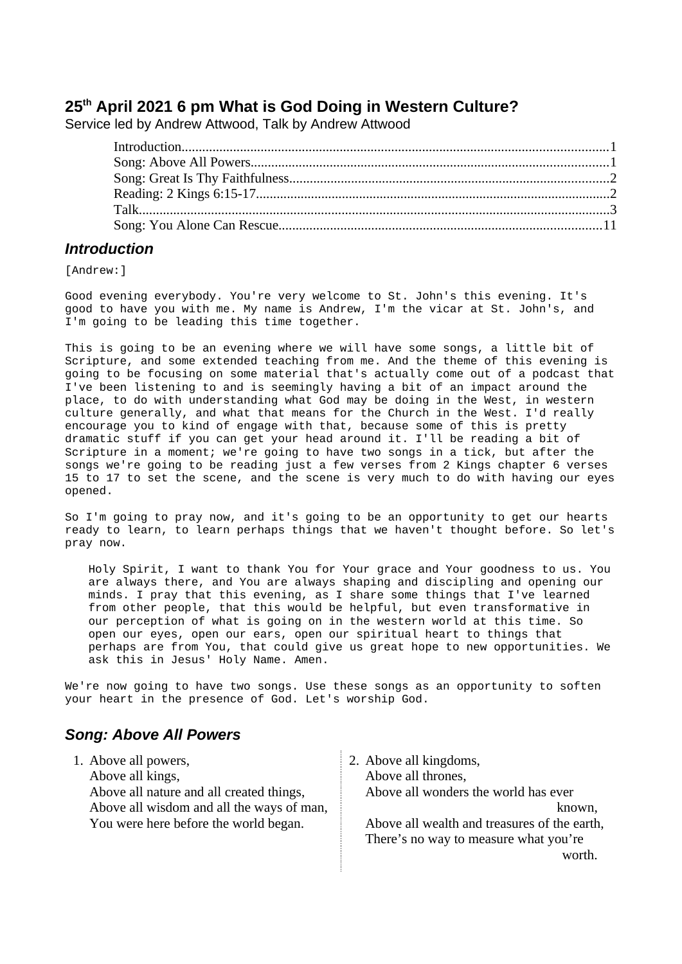# **25th April 2021 6 pm What is God Doing in Western Culture?**

Service led by Andrew Attwood, Talk by Andrew Attwood

## <span id="page-0-1"></span>*Introduction*

[Andrew:]

Good evening everybody. You're very welcome to St. John's this evening. It's good to have you with me. My name is Andrew, I'm the vicar at St. John's, and I'm going to be leading this time together.

This is going to be an evening where we will have some songs, a little bit of Scripture, and some extended teaching from me. And the theme of this evening is going to be focusing on some material that's actually come out of a podcast that I've been listening to and is seemingly having a bit of an impact around the place, to do with understanding what God may be doing in the West, in western culture generally, and what that means for the Church in the West. I'd really encourage you to kind of engage with that, because some of this is pretty dramatic stuff if you can get your head around it. I'll be reading a bit of Scripture in a moment; we're going to have two songs in a tick, but after the songs we're going to be reading just a few verses from 2 Kings chapter 6 verses 15 to 17 to set the scene, and the scene is very much to do with having our eyes opened.

So I'm going to pray now, and it's going to be an opportunity to get our hearts ready to learn, to learn perhaps things that we haven't thought before. So let's pray now.

Holy Spirit, I want to thank You for Your grace and Your goodness to us. You are always there, and You are always shaping and discipling and opening our minds. I pray that this evening, as I share some things that I've learned from other people, that this would be helpful, but even transformative in our perception of what is going on in the western world at this time. So open our eyes, open our ears, open our spiritual heart to things that perhaps are from You, that could give us great hope to new opportunities. We ask this in Jesus' Holy Name. Amen.

We're now going to have two songs. Use these songs as an opportunity to soften your heart in the presence of God. Let's worship God.

## <span id="page-0-0"></span>*Song: Above All Powers*

1. Above all powers, Above all kings, Above all nature and all created things, Above all wisdom and all the ways of man, You were here before the world began.

2. Above all kingdoms, Above all thrones, Above all wonders the world has ever known, Above all wealth and treasures of the earth, There's no way to measure what you're worth.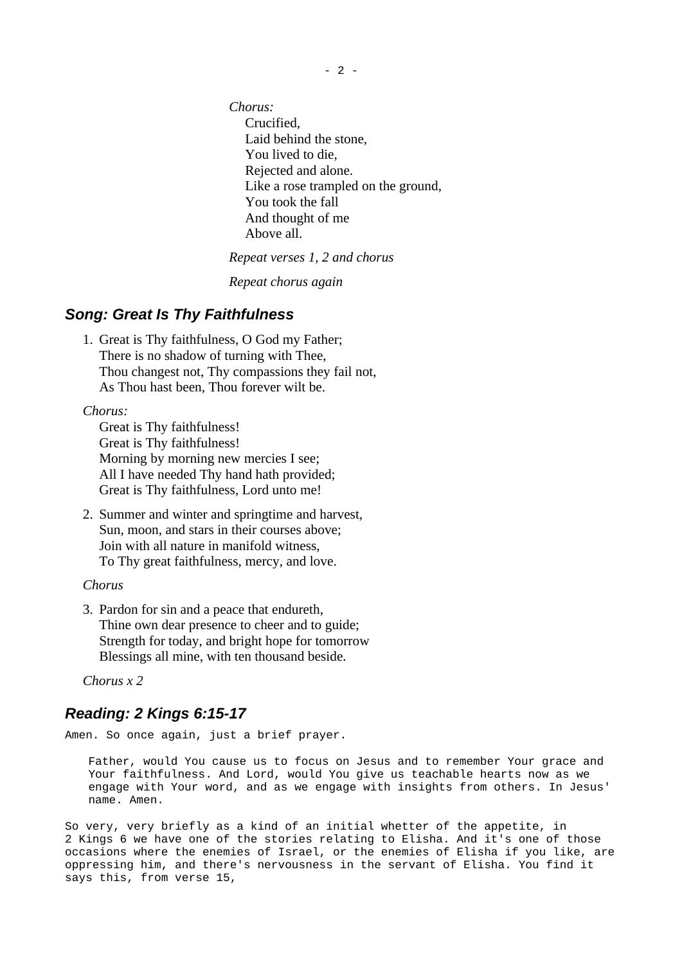*Chorus:*

Crucified, Laid behind the stone, You lived to die, Rejected and alone. Like a rose trampled on the ground, You took the fall And thought of me Above all.

*Repeat verses 1, 2 and chorus*

*Repeat chorus again*

# <span id="page-1-1"></span>*Song: Great Is Thy Faithfulness*

1. Great is Thy faithfulness, O God my Father; There is no shadow of turning with Thee, Thou changest not, Thy compassions they fail not, As Thou hast been, Thou forever wilt be.

## *Chorus:*

Great is Thy faithfulness! Great is Thy faithfulness! Morning by morning new mercies I see; All I have needed Thy hand hath provided; Great is Thy faithfulness, Lord unto me!

2. Summer and winter and springtime and harvest, Sun, moon, and stars in their courses above; Join with all nature in manifold witness, To Thy great faithfulness, mercy, and love.

## *Chorus*

3. Pardon for sin and a peace that endureth, Thine own dear presence to cheer and to guide; Strength for today, and bright hope for tomorrow Blessings all mine, with ten thousand beside.

*Chorus x 2*

# <span id="page-1-0"></span>*Reading: 2 Kings 6:15-17*

Amen. So once again, just a brief prayer.

Father, would You cause us to focus on Jesus and to remember Your grace and Your faithfulness. And Lord, would You give us teachable hearts now as we engage with Your word, and as we engage with insights from others. In Jesus' name. Amen.

So very, very briefly as a kind of an initial whetter of the appetite, in 2 Kings 6 we have one of the stories relating to Elisha. And it's one of those occasions where the enemies of Israel, or the enemies of Elisha if you like, are oppressing him, and there's nervousness in the servant of Elisha. You find it says this, from verse 15,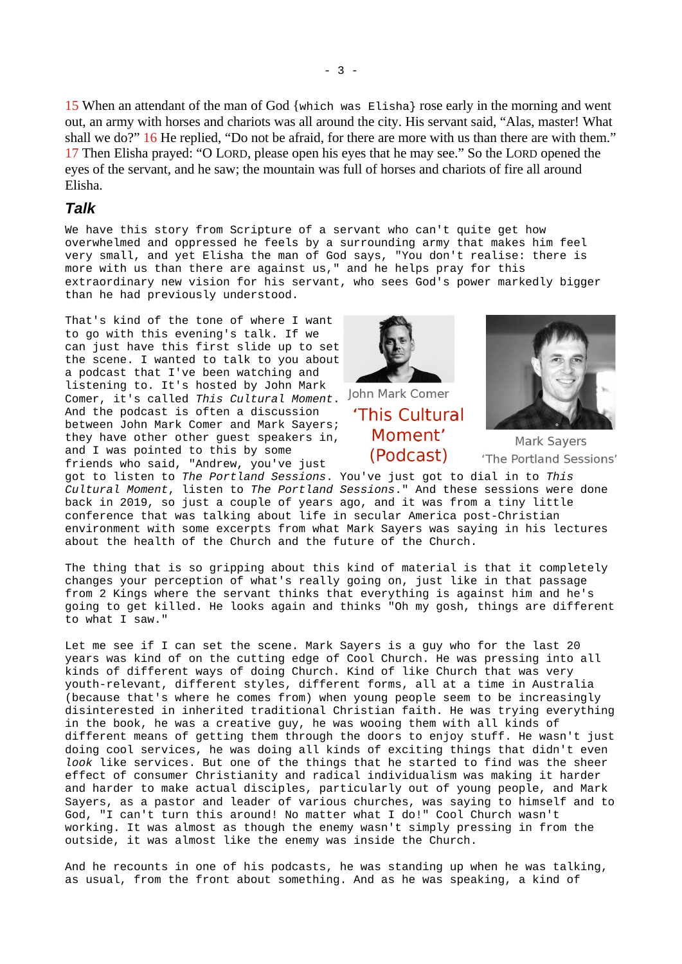15 When an attendant of the man of God {which was Elisha} rose early in the morning and went out, an army with horses and chariots was all around the city. His servant said, "Alas, master! What shall we do?" 16 He replied, "Do not be afraid, for there are more with us than there are with them." 17 Then Elisha prayed: "O LORD, please open his eyes that he may see." So the LORD opened the eyes of the servant, and he saw; the mountain was full of horses and chariots of fire all around Elisha.

### <span id="page-2-0"></span>*Talk*

We have this story from Scripture of a servant who can't quite get how overwhelmed and oppressed he feels by a surrounding army that makes him feel very small, and yet Elisha the man of God says, "You don't realise: there is more with us than there are against us," and he helps pray for this extraordinary new vision for his servant, who sees God's power markedly bigger than he had previously understood.

That's kind of the tone of where I want to go with this evening's talk. If we can just have this first slide up to set the scene. I wanted to talk to you about a podcast that I've been watching and listening to. It's hosted by John Mark Comer, it's called *This Cultural Moment*. And the podcast is often a discussion between John Mark Comer and Mark Sayers; they have other other guest speakers in, and I was pointed to this by some friends who said, "Andrew, you've just



John Mark Comer 'This Cultural Moment' (Podcast)



**Mark Sayers** 'The Portland Sessions'

got to listen to *The Portland Sessions*. You've just got to dial in to *This Cultural Moment*, listen to *The Portland Sessions*." And these sessions were done back in 2019, so just a couple of years ago, and it was from a tiny little conference that was talking about life in secular America post-Christian environment with some excerpts from what Mark Sayers was saying in his lectures about the health of the Church and the future of the Church.

The thing that is so gripping about this kind of material is that it completely changes your perception of what's really going on, just like in that passage from 2 Kings where the servant thinks that everything is against him and he's going to get killed. He looks again and thinks "Oh my gosh, things are different to what I saw."

Let me see if I can set the scene. Mark Sayers is a guy who for the last 20 years was kind of on the cutting edge of Cool Church. He was pressing into all kinds of different ways of doing Church. Kind of like Church that was very youth-relevant, different styles, different forms, all at a time in Australia (because that's where he comes from) when young people seem to be increasingly disinterested in inherited traditional Christian faith. He was trying everything in the book, he was a creative guy, he was wooing them with all kinds of different means of getting them through the doors to enjoy stuff. He wasn't just doing cool services, he was doing all kinds of exciting things that didn't even *look* like services. But one of the things that he started to find was the sheer effect of consumer Christianity and radical individualism was making it harder and harder to make actual disciples, particularly out of young people, and Mark Sayers, as a pastor and leader of various churches, was saying to himself and to God, "I can't turn this around! No matter what I do!" Cool Church wasn't working. It was almost as though the enemy wasn't simply pressing in from the outside, it was almost like the enemy was inside the Church.

And he recounts in one of his podcasts, he was standing up when he was talking, as usual, from the front about something. And as he was speaking, a kind of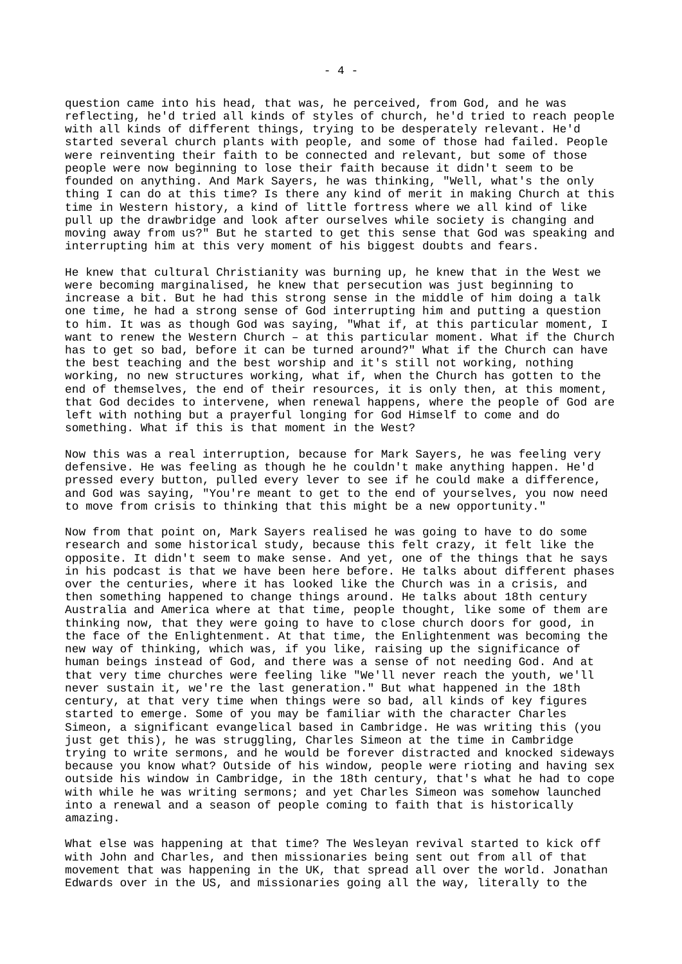question came into his head, that was, he perceived, from God, and he was reflecting, he'd tried all kinds of styles of church, he'd tried to reach people with all kinds of different things, trying to be desperately relevant. He'd started several church plants with people, and some of those had failed. People were reinventing their faith to be connected and relevant, but some of those people were now beginning to lose their faith because it didn't seem to be founded on anything. And Mark Sayers, he was thinking, "Well, what's the only thing I can do at this time? Is there any kind of merit in making Church at this time in Western history, a kind of little fortress where we all kind of like pull up the drawbridge and look after ourselves while society is changing and moving away from us?" But he started to get this sense that God was speaking and interrupting him at this very moment of his biggest doubts and fears.

He knew that cultural Christianity was burning up, he knew that in the West we were becoming marginalised, he knew that persecution was just beginning to increase a bit. But he had this strong sense in the middle of him doing a talk one time, he had a strong sense of God interrupting him and putting a question to him. It was as though God was saying, "What if, at this particular moment, I want to renew the Western Church – at this particular moment. What if the Church has to get so bad, before it can be turned around?" What if the Church can have the best teaching and the best worship and it's still not working, nothing working, no new structures working, what if, when the Church has gotten to the end of themselves, the end of their resources, it is only then, at this moment, that God decides to intervene, when renewal happens, where the people of God are left with nothing but a prayerful longing for God Himself to come and do something. What if this is that moment in the West?

Now this was a real interruption, because for Mark Sayers, he was feeling very defensive. He was feeling as though he he couldn't make anything happen. He'd pressed every button, pulled every lever to see if he could make a difference, and God was saying, "You're meant to get to the end of yourselves, you now need to move from crisis to thinking that this might be a new opportunity."

Now from that point on, Mark Sayers realised he was going to have to do some research and some historical study, because this felt crazy, it felt like the opposite. It didn't seem to make sense. And yet, one of the things that he says in his podcast is that we have been here before. He talks about different phases over the centuries, where it has looked like the Church was in a crisis, and then something happened to change things around. He talks about 18th century Australia and America where at that time, people thought, like some of them are thinking now, that they were going to have to close church doors for good, in the face of the Enlightenment. At that time, the Enlightenment was becoming the new way of thinking, which was, if you like, raising up the significance of human beings instead of God, and there was a sense of not needing God. And at that very time churches were feeling like "We'll never reach the youth, we'll never sustain it, we're the last generation." But what happened in the 18th century, at that very time when things were so bad, all kinds of key figures started to emerge. Some of you may be familiar with the character Charles Simeon, a significant evangelical based in Cambridge. He was writing this (you just get this), he was struggling, Charles Simeon at the time in Cambridge trying to write sermons, and he would be forever distracted and knocked sideways because you know what? Outside of his window, people were rioting and having sex outside his window in Cambridge, in the 18th century, that's what he had to cope with while he was writing sermons; and yet Charles Simeon was somehow launched into a renewal and a season of people coming to faith that is historically amazing.

What else was happening at that time? The Wesleyan revival started to kick off with John and Charles, and then missionaries being sent out from all of that movement that was happening in the UK, that spread all over the world. Jonathan Edwards over in the US, and missionaries going all the way, literally to the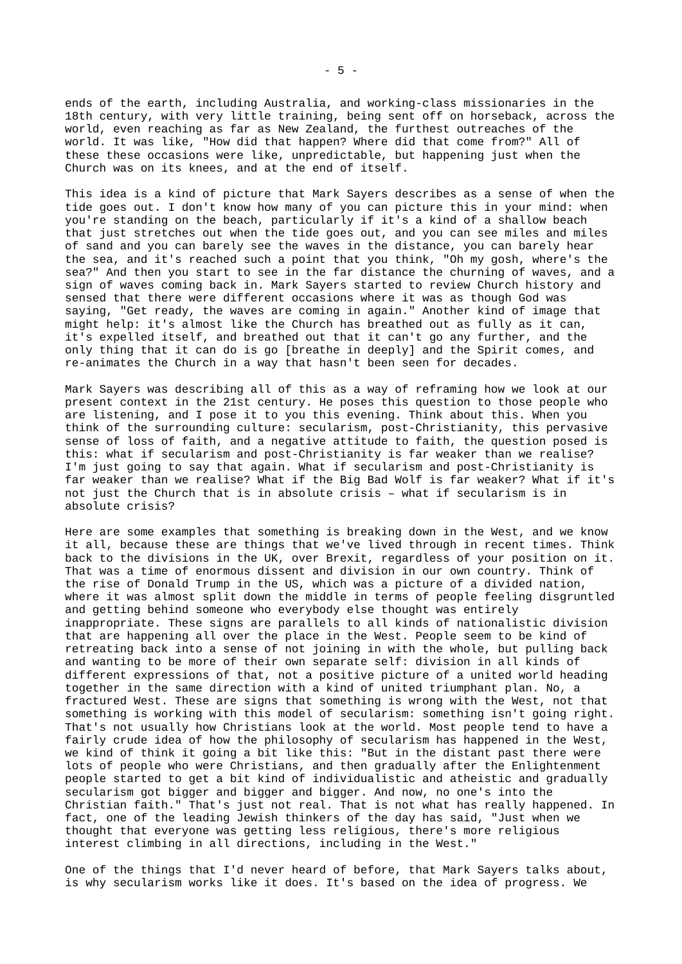ends of the earth, including Australia, and working-class missionaries in the 18th century, with very little training, being sent off on horseback, across the world, even reaching as far as New Zealand, the furthest outreaches of the world. It was like, "How did that happen? Where did that come from?" All of these these occasions were like, unpredictable, but happening just when the Church was on its knees, and at the end of itself.

This idea is a kind of picture that Mark Sayers describes as a sense of when the tide goes out. I don't know how many of you can picture this in your mind: when you're standing on the beach, particularly if it's a kind of a shallow beach that just stretches out when the tide goes out, and you can see miles and miles of sand and you can barely see the waves in the distance, you can barely hear the sea, and it's reached such a point that you think, "Oh my gosh, where's the sea?" And then you start to see in the far distance the churning of waves, and a sign of waves coming back in. Mark Sayers started to review Church history and sensed that there were different occasions where it was as though God was saying, "Get ready, the waves are coming in again." Another kind of image that might help: it's almost like the Church has breathed out as fully as it can, it's expelled itself, and breathed out that it can't go any further, and the only thing that it can do is go [breathe in deeply] and the Spirit comes, and re-animates the Church in a way that hasn't been seen for decades.

Mark Sayers was describing all of this as a way of reframing how we look at our present context in the 21st century. He poses this question to those people who are listening, and I pose it to you this evening. Think about this. When you think of the surrounding culture: secularism, post-Christianity, this pervasive sense of loss of faith, and a negative attitude to faith, the question posed is this: what if secularism and post-Christianity is far weaker than we realise? I'm just going to say that again. What if secularism and post-Christianity is far weaker than we realise? What if the Big Bad Wolf is far weaker? What if it's not just the Church that is in absolute crisis – what if secularism is in absolute crisis?

Here are some examples that something is breaking down in the West, and we know it all, because these are things that we've lived through in recent times. Think back to the divisions in the UK, over Brexit, regardless of your position on it. That was a time of enormous dissent and division in our own country. Think of the rise of Donald Trump in the US, which was a picture of a divided nation, where it was almost split down the middle in terms of people feeling disgruntled and getting behind someone who everybody else thought was entirely inappropriate. These signs are parallels to all kinds of nationalistic division that are happening all over the place in the West. People seem to be kind of retreating back into a sense of not joining in with the whole, but pulling back and wanting to be more of their own separate self: division in all kinds of different expressions of that, not a positive picture of a united world heading together in the same direction with a kind of united triumphant plan. No, a fractured West. These are signs that something is wrong with the West, not that something is working with this model of secularism: something isn't going right. That's not usually how Christians look at the world. Most people tend to have a fairly crude idea of how the philosophy of secularism has happened in the West, we kind of think it going a bit like this: "But in the distant past there were lots of people who were Christians, and then gradually after the Enlightenment people started to get a bit kind of individualistic and atheistic and gradually secularism got bigger and bigger and bigger. And now, no one's into the Christian faith." That's just not real. That is not what has really happened. In fact, one of the leading Jewish thinkers of the day has said, "Just when we thought that everyone was getting less religious, there's more religious interest climbing in all directions, including in the West."

One of the things that I'd never heard of before, that Mark Sayers talks about, is why secularism works like it does. It's based on the idea of progress. We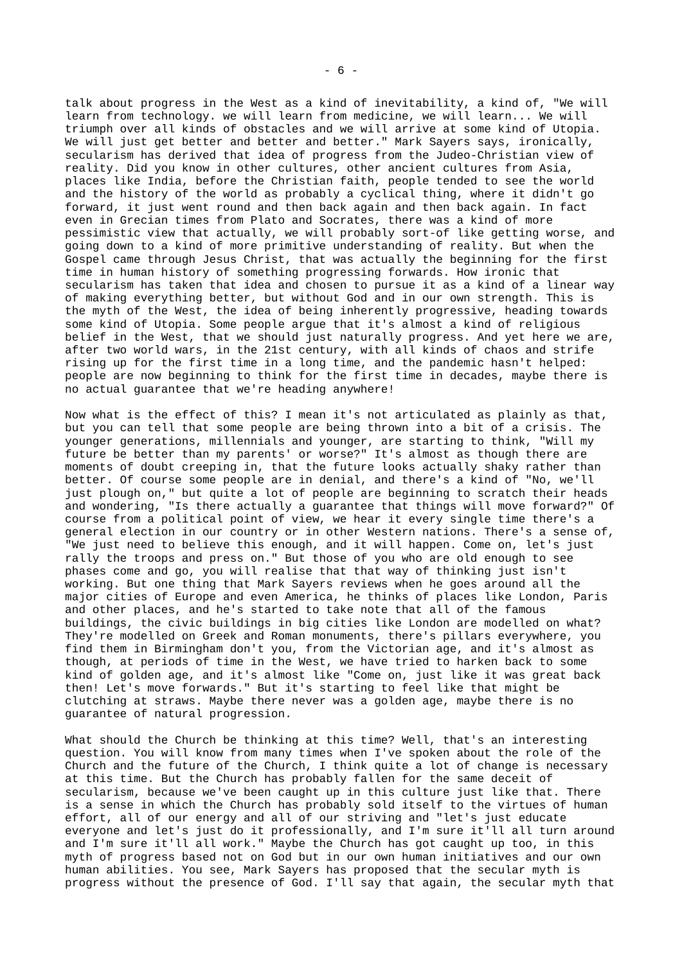talk about progress in the West as a kind of inevitability, a kind of, "We will learn from technology. we will learn from medicine, we will learn... We will triumph over all kinds of obstacles and we will arrive at some kind of Utopia. We will just get better and better and better." Mark Sayers says, ironically, secularism has derived that idea of progress from the Judeo-Christian view of reality. Did you know in other cultures, other ancient cultures from Asia, places like India, before the Christian faith, people tended to see the world and the history of the world as probably a cyclical thing, where it didn't go forward, it just went round and then back again and then back again. In fact even in Grecian times from Plato and Socrates, there was a kind of more pessimistic view that actually, we will probably sort-of like getting worse, and going down to a kind of more primitive understanding of reality. But when the Gospel came through Jesus Christ, that was actually the beginning for the first time in human history of something progressing forwards. How ironic that secularism has taken that idea and chosen to pursue it as a kind of a linear way of making everything better, but without God and in our own strength. This is the myth of the West, the idea of being inherently progressive, heading towards some kind of Utopia. Some people argue that it's almost a kind of religious belief in the West, that we should just naturally progress. And yet here we are, after two world wars, in the 21st century, with all kinds of chaos and strife rising up for the first time in a long time, and the pandemic hasn't helped: people are now beginning to think for the first time in decades, maybe there is no actual guarantee that we're heading anywhere!

Now what is the effect of this? I mean it's not articulated as plainly as that, but you can tell that some people are being thrown into a bit of a crisis. The younger generations, millennials and younger, are starting to think, "Will my future be better than my parents' or worse?" It's almost as though there are moments of doubt creeping in, that the future looks actually shaky rather than better. Of course some people are in denial, and there's a kind of "No, we'll just plough on," but quite a lot of people are beginning to scratch their heads and wondering, "Is there actually a guarantee that things will move forward?" Of course from a political point of view, we hear it every single time there's a general election in our country or in other Western nations. There's a sense of, "We just need to believe this enough, and it will happen. Come on, let's just rally the troops and press on." But those of you who are old enough to see phases come and go, you will realise that that way of thinking just isn't working. But one thing that Mark Sayers reviews when he goes around all the major cities of Europe and even America, he thinks of places like London, Paris and other places, and he's started to take note that all of the famous buildings, the civic buildings in big cities like London are modelled on what? They're modelled on Greek and Roman monuments, there's pillars everywhere, you find them in Birmingham don't you, from the Victorian age, and it's almost as though, at periods of time in the West, we have tried to harken back to some kind of golden age, and it's almost like "Come on, just like it was great back then! Let's move forwards." But it's starting to feel like that might be clutching at straws. Maybe there never was a golden age, maybe there is no guarantee of natural progression.

What should the Church be thinking at this time? Well, that's an interesting question. You will know from many times when I've spoken about the role of the Church and the future of the Church, I think quite a lot of change is necessary at this time. But the Church has probably fallen for the same deceit of secularism, because we've been caught up in this culture just like that. There is a sense in which the Church has probably sold itself to the virtues of human effort, all of our energy and all of our striving and "let's just educate everyone and let's just do it professionally, and I'm sure it'll all turn around and I'm sure it'll all work." Maybe the Church has got caught up too, in this myth of progress based not on God but in our own human initiatives and our own human abilities. You see, Mark Sayers has proposed that the secular myth is progress without the presence of God. I'll say that again, the secular myth that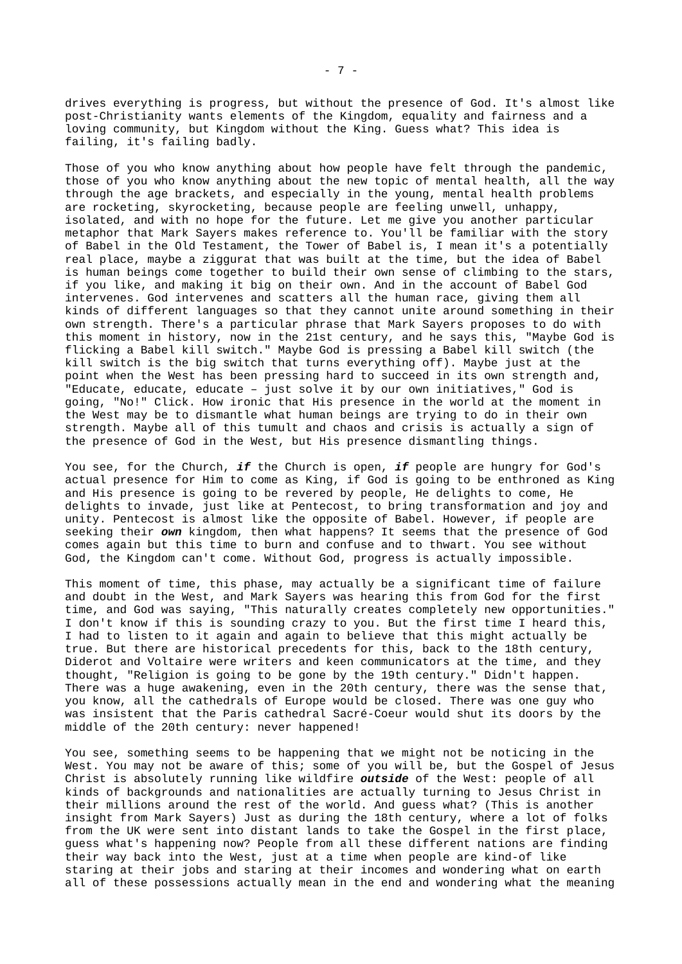drives everything is progress, but without the presence of God. It's almost like post-Christianity wants elements of the Kingdom, equality and fairness and a loving community, but Kingdom without the King. Guess what? This idea is failing, it's failing badly.

Those of you who know anything about how people have felt through the pandemic, those of you who know anything about the new topic of mental health, all the way through the age brackets, and especially in the young, mental health problems are rocketing, skyrocketing, because people are feeling unwell, unhappy, isolated, and with no hope for the future. Let me give you another particular metaphor that Mark Sayers makes reference to. You'll be familiar with the story of Babel in the Old Testament, the Tower of Babel is, I mean it's a potentially real place, maybe a ziggurat that was built at the time, but the idea of Babel is human beings come together to build their own sense of climbing to the stars, if you like, and making it big on their own. And in the account of Babel God intervenes. God intervenes and scatters all the human race, giving them all kinds of different languages so that they cannot unite around something in their own strength. There's a particular phrase that Mark Sayers proposes to do with this moment in history, now in the 21st century, and he says this, "Maybe God is flicking a Babel kill switch." Maybe God is pressing a Babel kill switch (the kill switch is the big switch that turns everything off). Maybe just at the point when the West has been pressing hard to succeed in its own strength and, "Educate, educate, educate – just solve it by our own initiatives," God is going, "No!" Click. How ironic that His presence in the world at the moment in the West may be to dismantle what human beings are trying to do in their own strength. Maybe all of this tumult and chaos and crisis is actually a sign of the presence of God in the West, but His presence dismantling things.

You see, for the Church, *if* the Church is open, *if* people are hungry for God's actual presence for Him to come as King, if God is going to be enthroned as King and His presence is going to be revered by people, He delights to come, He delights to invade, just like at Pentecost, to bring transformation and joy and unity. Pentecost is almost like the opposite of Babel. However, if people are seeking their *own* kingdom, then what happens? It seems that the presence of God comes again but this time to burn and confuse and to thwart. You see without God, the Kingdom can't come. Without God, progress is actually impossible.

This moment of time, this phase, may actually be a significant time of failure and doubt in the West, and Mark Sayers was hearing this from God for the first time, and God was saying, "This naturally creates completely new opportunities." I don't know if this is sounding crazy to you. But the first time I heard this, I had to listen to it again and again to believe that this might actually be true. But there are historical precedents for this, back to the 18th century, Diderot and Voltaire were writers and keen communicators at the time, and they thought, "Religion is going to be gone by the 19th century." Didn't happen. There was a huge awakening, even in the 20th century, there was the sense that, you know, all the cathedrals of Europe would be closed. There was one guy who was insistent that the Paris cathedral Sacré-Coeur would shut its doors by the middle of the 20th century: never happened!

You see, something seems to be happening that we might not be noticing in the West. You may not be aware of this; some of you will be, but the Gospel of Jesus Christ is absolutely running like wildfire *outside* of the West: people of all kinds of backgrounds and nationalities are actually turning to Jesus Christ in their millions around the rest of the world. And guess what? (This is another insight from Mark Sayers) Just as during the 18th century, where a lot of folks from the UK were sent into distant lands to take the Gospel in the first place, guess what's happening now? People from all these different nations are finding their way back into the West, just at a time when people are kind-of like staring at their jobs and staring at their incomes and wondering what on earth all of these possessions actually mean in the end and wondering what the meaning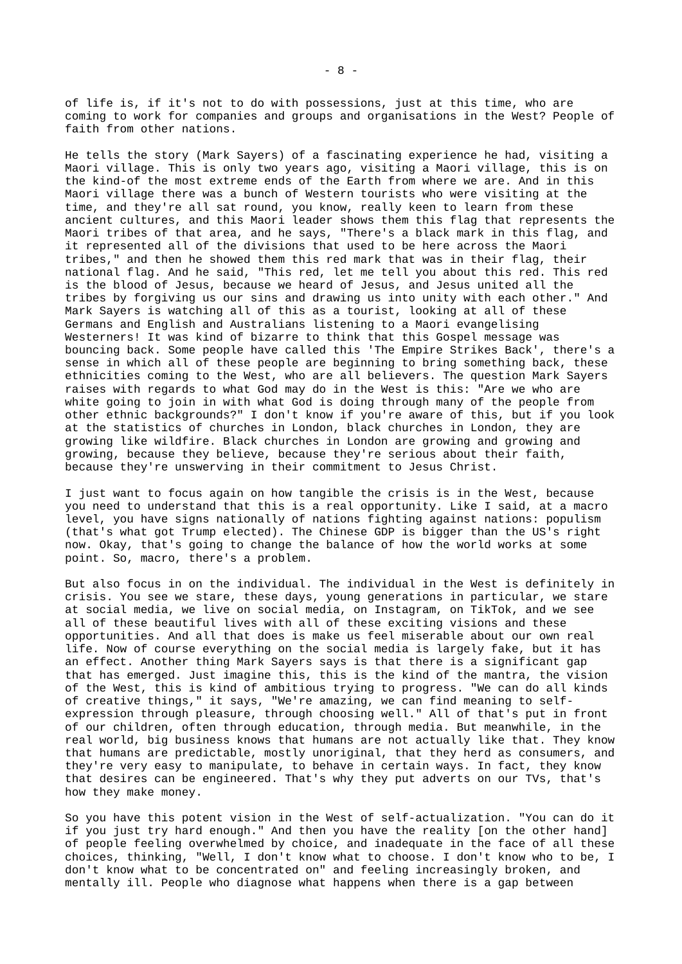of life is, if it's not to do with possessions, just at this time, who are coming to work for companies and groups and organisations in the West? People of faith from other nations.

He tells the story (Mark Sayers) of a fascinating experience he had, visiting a Maori village. This is only two years ago, visiting a Maori village, this is on the kind-of the most extreme ends of the Earth from where we are. And in this Maori village there was a bunch of Western tourists who were visiting at the time, and they're all sat round, you know, really keen to learn from these ancient cultures, and this Maori leader shows them this flag that represents the Maori tribes of that area, and he says, "There's a black mark in this flag, and it represented all of the divisions that used to be here across the Maori tribes," and then he showed them this red mark that was in their flag, their national flag. And he said, "This red, let me tell you about this red. This red is the blood of Jesus, because we heard of Jesus, and Jesus united all the tribes by forgiving us our sins and drawing us into unity with each other." And Mark Sayers is watching all of this as a tourist, looking at all of these Germans and English and Australians listening to a Maori evangelising Westerners! It was kind of bizarre to think that this Gospel message was bouncing back. Some people have called this 'The Empire Strikes Back', there's a sense in which all of these people are beginning to bring something back, these ethnicities coming to the West, who are all believers. The question Mark Sayers raises with regards to what God may do in the West is this: "Are we who are white going to join in with what God is doing through many of the people from other ethnic backgrounds?" I don't know if you're aware of this, but if you look at the statistics of churches in London, black churches in London, they are growing like wildfire. Black churches in London are growing and growing and growing, because they believe, because they're serious about their faith, because they're unswerving in their commitment to Jesus Christ.

I just want to focus again on how tangible the crisis is in the West, because you need to understand that this is a real opportunity. Like I said, at a macro level, you have signs nationally of nations fighting against nations: populism (that's what got Trump elected). The Chinese GDP is bigger than the US's right now. Okay, that's going to change the balance of how the world works at some point. So, macro, there's a problem.

But also focus in on the individual. The individual in the West is definitely in crisis. You see we stare, these days, young generations in particular, we stare at social media, we live on social media, on Instagram, on TikTok, and we see all of these beautiful lives with all of these exciting visions and these opportunities. And all that does is make us feel miserable about our own real life. Now of course everything on the social media is largely fake, but it has an effect. Another thing Mark Sayers says is that there is a significant gap that has emerged. Just imagine this, this is the kind of the mantra, the vision of the West, this is kind of ambitious trying to progress. "We can do all kinds of creative things," it says, "We're amazing, we can find meaning to selfexpression through pleasure, through choosing well." All of that's put in front of our children, often through education, through media. But meanwhile, in the real world, big business knows that humans are not actually like that. They know that humans are predictable, mostly unoriginal, that they herd as consumers, and they're very easy to manipulate, to behave in certain ways. In fact, they know that desires can be engineered. That's why they put adverts on our TVs, that's how they make money.

So you have this potent vision in the West of self-actualization. "You can do it if you just try hard enough." And then you have the reality [on the other hand] of people feeling overwhelmed by choice, and inadequate in the face of all these choices, thinking, "Well, I don't know what to choose. I don't know who to be, I don't know what to be concentrated on" and feeling increasingly broken, and mentally ill. People who diagnose what happens when there is a gap between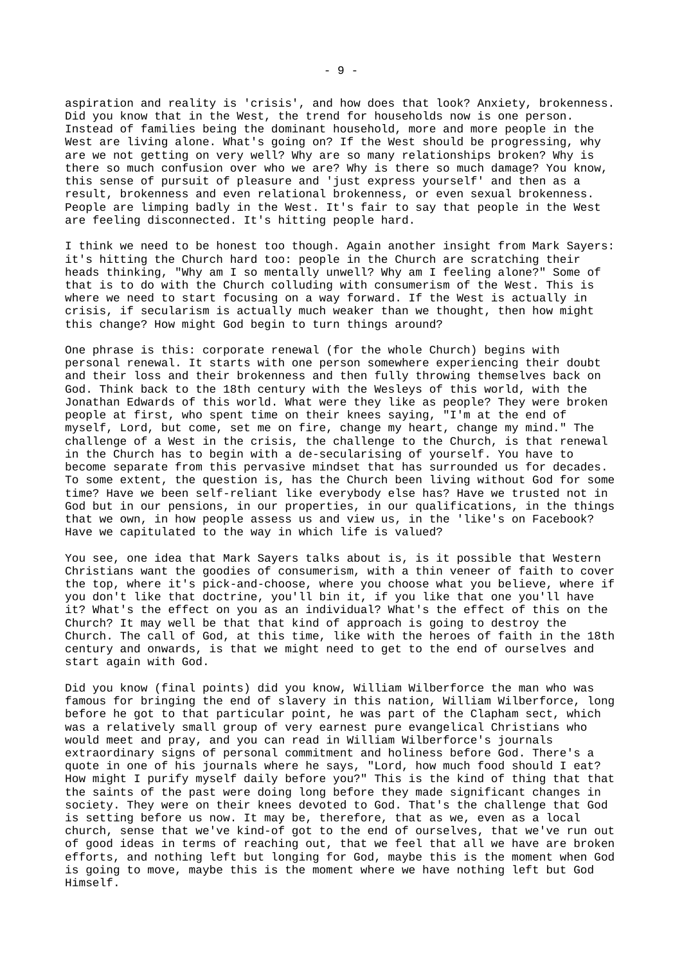aspiration and reality is 'crisis', and how does that look? Anxiety, brokenness. Did you know that in the West, the trend for households now is one person. Instead of families being the dominant household, more and more people in the West are living alone. What's going on? If the West should be progressing, why are we not getting on very well? Why are so many relationships broken? Why is there so much confusion over who we are? Why is there so much damage? You know, this sense of pursuit of pleasure and 'just express yourself' and then as a result, brokenness and even relational brokenness, or even sexual brokenness. People are limping badly in the West. It's fair to say that people in the West are feeling disconnected. It's hitting people hard.

I think we need to be honest too though. Again another insight from Mark Sayers: it's hitting the Church hard too: people in the Church are scratching their heads thinking, "Why am I so mentally unwell? Why am I feeling alone?" Some of that is to do with the Church colluding with consumerism of the West. This is where we need to start focusing on a way forward. If the West is actually in crisis, if secularism is actually much weaker than we thought, then how might this change? How might God begin to turn things around?

One phrase is this: corporate renewal (for the whole Church) begins with personal renewal. It starts with one person somewhere experiencing their doubt and their loss and their brokenness and then fully throwing themselves back on God. Think back to the 18th century with the Wesleys of this world, with the Jonathan Edwards of this world. What were they like as people? They were broken people at first, who spent time on their knees saying, "I'm at the end of myself, Lord, but come, set me on fire, change my heart, change my mind." The challenge of a West in the crisis, the challenge to the Church, is that renewal in the Church has to begin with a de-secularising of yourself. You have to become separate from this pervasive mindset that has surrounded us for decades. To some extent, the question is, has the Church been living without God for some time? Have we been self-reliant like everybody else has? Have we trusted not in God but in our pensions, in our properties, in our qualifications, in the things that we own, in how people assess us and view us, in the 'like's on Facebook? Have we capitulated to the way in which life is valued?

You see, one idea that Mark Sayers talks about is, is it possible that Western Christians want the goodies of consumerism, with a thin veneer of faith to cover the top, where it's pick-and-choose, where you choose what you believe, where if you don't like that doctrine, you'll bin it, if you like that one you'll have it? What's the effect on you as an individual? What's the effect of this on the Church? It may well be that that kind of approach is going to destroy the Church. The call of God, at this time, like with the heroes of faith in the 18th century and onwards, is that we might need to get to the end of ourselves and start again with God.

Did you know (final points) did you know, William Wilberforce the man who was famous for bringing the end of slavery in this nation, William Wilberforce, long before he got to that particular point, he was part of the Clapham sect, which was a relatively small group of very earnest pure evangelical Christians who would meet and pray, and you can read in William Wilberforce's journals extraordinary signs of personal commitment and holiness before God. There's a quote in one of his journals where he says, "Lord, how much food should I eat? How might I purify myself daily before you?" This is the kind of thing that that the saints of the past were doing long before they made significant changes in society. They were on their knees devoted to God. That's the challenge that God is setting before us now. It may be, therefore, that as we, even as a local church, sense that we've kind-of got to the end of ourselves, that we've run out of good ideas in terms of reaching out, that we feel that all we have are broken efforts, and nothing left but longing for God, maybe this is the moment when God is going to move, maybe this is the moment where we have nothing left but God Himself.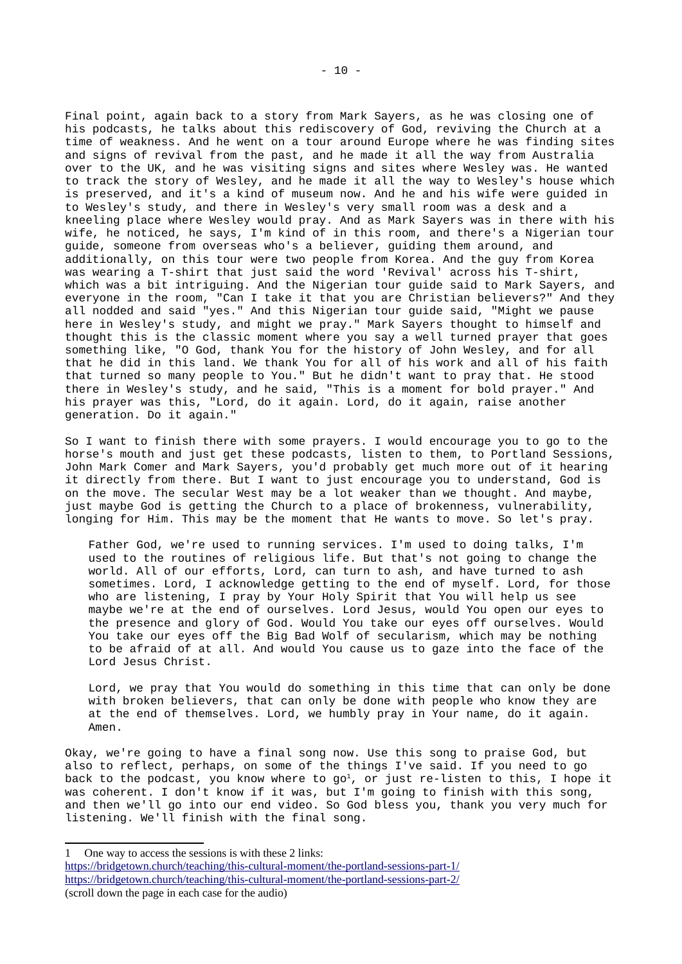Final point, again back to a story from Mark Sayers, as he was closing one of his podcasts, he talks about this rediscovery of God, reviving the Church at a time of weakness. And he went on a tour around Europe where he was finding sites and signs of revival from the past, and he made it all the way from Australia over to the UK, and he was visiting signs and sites where Wesley was. He wanted to track the story of Wesley, and he made it all the way to Wesley's house which is preserved, and it's a kind of museum now. And he and his wife were guided in to Wesley's study, and there in Wesley's very small room was a desk and a kneeling place where Wesley would pray. And as Mark Sayers was in there with his wife, he noticed, he says, I'm kind of in this room, and there's a Nigerian tour guide, someone from overseas who's a believer, guiding them around, and additionally, on this tour were two people from Korea. And the guy from Korea was wearing a T-shirt that just said the word 'Revival' across his T-shirt, which was a bit intriguing. And the Nigerian tour guide said to Mark Sayers, and everyone in the room, "Can I take it that you are Christian believers?" And they all nodded and said "yes." And this Nigerian tour guide said, "Might we pause here in Wesley's study, and might we pray." Mark Sayers thought to himself and thought this is the classic moment where you say a well turned prayer that goes something like, "O God, thank You for the history of John Wesley, and for all that he did in this land. We thank You for all of his work and all of his faith that turned so many people to You." But he didn't want to pray that. He stood there in Wesley's study, and he said, "This is a moment for bold prayer." And his prayer was this, "Lord, do it again. Lord, do it again, raise another generation. Do it again."

So I want to finish there with some prayers. I would encourage you to go to the horse's mouth and just get these podcasts, listen to them, to Portland Sessions, John Mark Comer and Mark Sayers, you'd probably get much more out of it hearing it directly from there. But I want to just encourage you to understand, God is on the move. The secular West may be a lot weaker than we thought. And maybe, just maybe God is getting the Church to a place of brokenness, vulnerability, longing for Him. This may be the moment that He wants to move. So let's pray.

Father God, we're used to running services. I'm used to doing talks, I'm used to the routines of religious life. But that's not going to change the world. All of our efforts, Lord, can turn to ash, and have turned to ash sometimes. Lord, I acknowledge getting to the end of myself. Lord, for those who are listening, I pray by Your Holy Spirit that You will help us see maybe we're at the end of ourselves. Lord Jesus, would You open our eyes to the presence and glory of God. Would You take our eyes off ourselves. Would You take our eyes off the Big Bad Wolf of secularism, which may be nothing to be afraid of at all. And would You cause us to gaze into the face of the Lord Jesus Christ.

Lord, we pray that You would do something in this time that can only be done with broken believers, that can only be done with people who know they are at the end of themselves. Lord, we humbly pray in Your name, do it again. Amen.

Okay, we're going to have a final song now. Use this song to praise God, but also to reflect, perhaps, on some of the things I've said. If you need to go back to the podcast, you know where to  $g0<sup>1</sup>$  $g0<sup>1</sup>$  $g0<sup>1</sup>$ , or just re-listen to this, I hope it was coherent. I don't know if it was, but I'm going to finish with this song, and then we'll go into our end video. So God bless you, thank you very much for listening. We'll finish with the final song.

<span id="page-9-0"></span>1 One way to access the sessions is with these 2 links: <https://bridgetown.church/teaching/this-cultural-moment/the-portland-sessions-part-1/> <https://bridgetown.church/teaching/this-cultural-moment/the-portland-sessions-part-2/> (scroll down the page in each case for the audio)